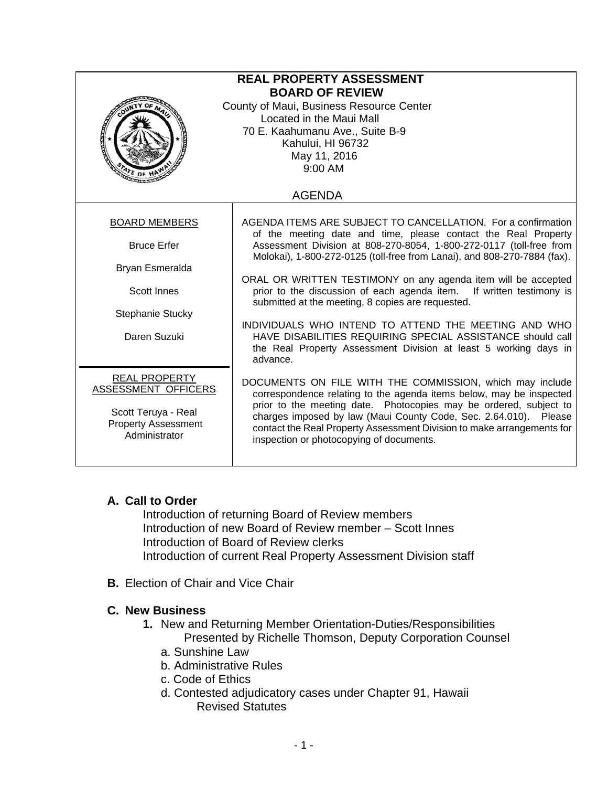| <b>REAL PROPERTY ASSESSMENT</b><br><b>BOARD OF REVIEW</b><br>County of Maui, Business Resource Center<br>Located in the Maui Mall<br>70 E. Kaahumanu Ave., Suite B-9<br>Kahului, HI 96732<br>May 11, 2016<br>9:00 AM |                                                                                                                                                                                                                                                                                                                                                                                                                                                                                                                                                                                                                                                                                          |
|----------------------------------------------------------------------------------------------------------------------------------------------------------------------------------------------------------------------|------------------------------------------------------------------------------------------------------------------------------------------------------------------------------------------------------------------------------------------------------------------------------------------------------------------------------------------------------------------------------------------------------------------------------------------------------------------------------------------------------------------------------------------------------------------------------------------------------------------------------------------------------------------------------------------|
| <b>AGENDA</b>                                                                                                                                                                                                        |                                                                                                                                                                                                                                                                                                                                                                                                                                                                                                                                                                                                                                                                                          |
| <b>BOARD MEMBERS</b><br><b>Bruce Erfer</b><br>Bryan Esmeralda<br><b>Scott Innes</b><br>Stephanie Stucky<br>Daren Suzuki                                                                                              | AGENDA ITEMS ARE SUBJECT TO CANCELLATION. For a confirmation<br>of the meeting date and time, please contact the Real Property<br>Assessment Division at 808-270-8054, 1-800-272-0117 (toll-free from<br>Molokai), 1-800-272-0125 (toll-free from Lanai), and 808-270-7884 (fax).<br>ORAL OR WRITTEN TESTIMONY on any agenda item will be accepted<br>prior to the discussion of each agenda item.<br>If written testimony is<br>submitted at the meeting, 8 copies are requested.<br>INDIVIDUALS WHO INTEND TO ATTEND THE MEETING AND WHO<br>HAVE DISABILITIES REQUIRING SPECIAL ASSISTANCE should call<br>the Real Property Assessment Division at least 5 working days in<br>advance. |
| <b>REAL PROPERTY</b><br>ASSESSMENT OFFICERS<br>Scott Teruya - Real<br><b>Property Assessment</b><br>Administrator                                                                                                    | DOCUMENTS ON FILE WITH THE COMMISSION, which may include<br>correspondence relating to the agenda items below, may be inspected<br>prior to the meeting date. Photocopies may be ordered, subject to<br>charges imposed by law (Maui County Code, Sec. 2.64.010). Please<br>contact the Real Property Assessment Division to make arrangements for<br>inspection or photocopying of documents.                                                                                                                                                                                                                                                                                           |

## **A. Call to Order**

Introduction of returning Board of Review members Introduction of new Board of Review member – Scott Innes Introduction of Board of Review clerks Introduction of current Real Property Assessment Division staff

**B.** Election of Chair and Vice Chair

## **C. New Business**

- **1.** New and Returning Member Orientation-Duties/Responsibilities Presented by Richelle Thomson, Deputy Corporation Counsel a. Sunshine Law
	-
	- b. Administrative Rules
	- c. Code of Ethics
	- d. Contested adjudicatory cases under Chapter 91, Hawaii Revised Statutes